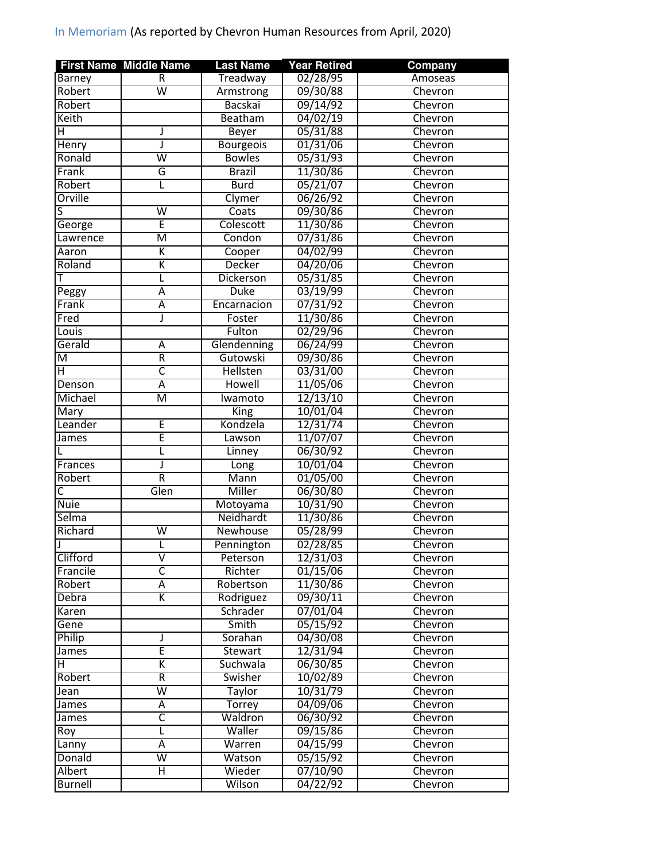|                | <b>First Name Middle Name</b> | <b>Last Name</b> | <b>Year Retired</b> | Company |
|----------------|-------------------------------|------------------|---------------------|---------|
| <b>Barney</b>  | R                             | Treadway         | 02/28/95            | Amoseas |
| Robert         | $\overline{\mathsf{W}}$       | Armstrong        | 09/30/88            | Chevron |
| Robert         |                               | <b>Bacskai</b>   | 09/14/92            | Chevron |
| Keith          |                               | Beatham          | 04/02/19            | Chevron |
| н              | J                             | <b>Beyer</b>     | 05/31/88            | Chevron |
| Henry          | J                             | <b>Bourgeois</b> | 01/31/06            | Chevron |
| Ronald         | $\overline{\mathsf{W}}$       | <b>Bowles</b>    | 05/31/93            | Chevron |
| Frank          | G                             | <b>Brazil</b>    | 11/30/86            | Chevron |
| Robert         | L                             | <b>Burd</b>      | 05/21/07            | Chevron |
| Orville        |                               | Clymer           | 06/26/92            | Chevron |
| S              | $\overline{\mathsf{w}}$       | Coats            | 09/30/86            | Chevron |
| George         | Ē                             | Colescott        | 11/30/86            | Chevron |
| Lawrence       | $\overline{\mathsf{M}}$       | Condon           | 07/31/86            | Chevron |
| Aaron          | Κ                             | Cooper           | 04/02/99            | Chevron |
| Roland         | K                             | Decker           | 04/20/06            | Chevron |
|                | L                             | Dickerson        | 05/31/85            | Chevron |
| Peggy          | $\overline{\mathsf{A}}$       | <b>Duke</b>      | 03/19/99            | Chevron |
| Frank          | Ā                             | Encarnacion      | 07/31/92            | Chevron |
| Fred           | J                             | Foster           | 11/30/86            | Chevron |
| Louis          |                               | Fulton           | 02/29/96            | Chevron |
| Gerald         | A                             | Glendenning      | 06/24/99            | Chevron |
| M              | $\overline{\mathsf{R}}$       | Gutowski         | 09/30/86            | Chevron |
| Η              | $\overline{\mathsf{C}}$       | Hellsten         | 03/31/00            | Chevron |
|                |                               |                  |                     |         |
| Denson         | $\overline{A}$                | Howell           | 11/05/06            | Chevron |
| Michael        | M                             | Iwamoto          | 12/13/10            | Chevron |
| Mary           |                               | King             | 10/01/04            | Chevron |
| Leander        | E                             | Kondzela         | 12/31/74            | Chevron |
| James          | Ē                             | Lawson           | 11/07/07            | Chevron |
|                | L                             | Linney           | 06/30/92            | Chevron |
| Frances        | J                             | Long             | 10/01/04            | Chevron |
| Robert         | $\overline{\mathsf{R}}$       | Mann             | 01/05/00            | Chevron |
| C              | Glen                          | Miller           | 06/30/80            | Chevron |
| <b>Nuie</b>    |                               | Motoyama         | 10/31/90            | Chevron |
| Selma          |                               | Neidhardt        | 11/30/86            | Chevron |
| Richard        | $\overline{\mathsf{w}}$       | Newhouse         | 05/28/99            | Chevron |
| IΙ             | L                             | Pennington       | 02/28/85            | Chevron |
| Clifford       | $\overline{\mathsf{V}}$       | Peterson         | 12/31/03            | Chevron |
| Francile       | $\overline{\mathsf{C}}$       | Richter          | 01/15/06            | Chevron |
| Robert         | Ā                             | Robertson        | 11/30/86            | Chevron |
| Debra          | K                             | Rodriguez        | 09/30/11            | Chevron |
| Karen          |                               | Schrader         | 07/01/04            | Chevron |
| Gene           |                               | Smith            | 05/15/92            | Chevron |
| Philip         | J                             | Sorahan          | 04/30/08            | Chevron |
| James          | Ē                             | <b>Stewart</b>   | 12/31/94            | Chevron |
| H              | Κ                             | Suchwala         | 06/30/85            | Chevron |
| Robert         | R                             | Swisher          | 10/02/89            | Chevron |
| Jean           | W                             | <b>Taylor</b>    | 10/31/79            | Chevron |
| James          | A                             | Torrey           | $\frac{04}{09}{06}$ | Chevron |
| James          | $\overline{\mathsf{C}}$       | Waldron          | 06/30/92            | Chevron |
| Roy            | L                             | Waller           | 09/15/86            | Chevron |
| Lanny          | Α                             | Warren           | 04/15/99            | Chevron |
| Donald         | $\overline{\mathsf{W}}$       | Watson           | 05/15/92            | Chevron |
| <b>Albert</b>  | Η                             | Wieder           | 07/10/90            | Chevron |
| <b>Burnell</b> |                               | Wilson           | 04/22/92            | Chevron |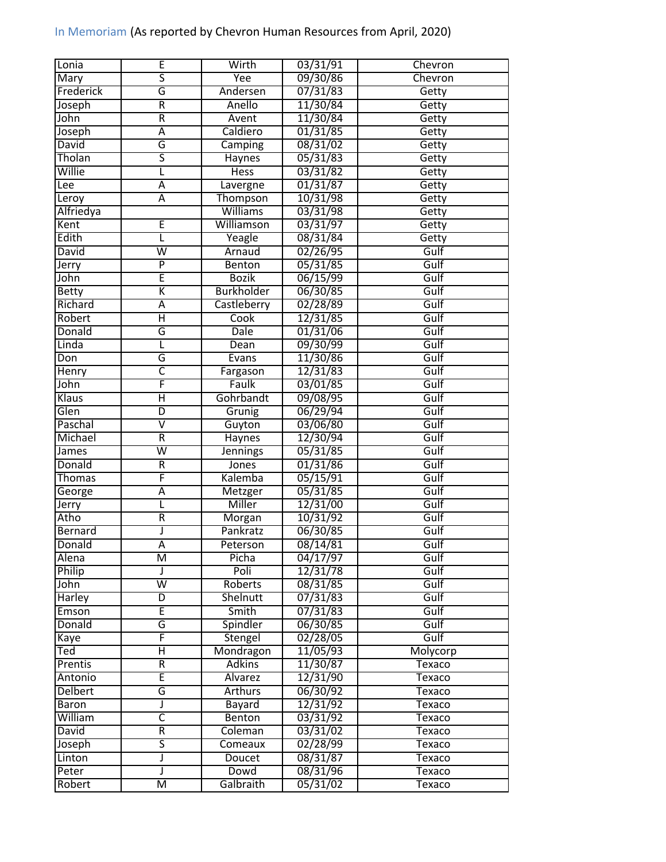| Lonia          | Έ                       | Wirth             | 03/31/91 | Chevron      |
|----------------|-------------------------|-------------------|----------|--------------|
| <b>Mary</b>    | $\overline{\mathsf{s}}$ | Yee               | 09/30/86 | Chevron      |
| Frederick      | G                       | Andersen          | 07/31/83 | Getty        |
| Joseph         | R                       | Anello            | 11/30/84 | Getty        |
| John           | $\overline{\mathsf{R}}$ | Avent             | 11/30/84 | Getty        |
| Joseph         | Ā                       | Caldiero          | 01/31/85 | Getty        |
| David          | G                       | Camping           | 08/31/02 | Getty        |
| Tholan         | $\overline{\mathsf{s}}$ | Haynes            | 05/31/83 | Getty        |
| Willie         | L                       | <b>Hess</b>       | 03/31/82 | Getty        |
| Lee            | Ā                       | Lavergne          | 01/31/87 | Getty        |
| Leroy          | Ā                       | Thompson          | 10/31/98 | Getty        |
| Alfriedya      |                         | Williams          | 03/31/98 | Getty        |
| Kent           | Ē                       | Williamson        | 03/31/97 | Getty        |
| Edith          | L                       | Yeagle            | 08/31/84 | Getty        |
| David          | $\overline{\mathsf{w}}$ | Arnaud            | 02/26/95 | Gulf         |
| Jerry          | $\overline{\mathsf{P}}$ | Benton            | 05/31/85 | Gulf         |
| John           | Ē                       | <b>Bozik</b>      | 06/15/99 | Gulf         |
| <b>Betty</b>   | Κ                       | <b>Burkholder</b> | 06/30/85 | Gulf         |
| Richard        | Ā                       | Castleberry       | 02/28/89 | Gulf         |
| Robert         | Η                       | Cook              | 12/31/85 | Gulf         |
| Donald         | G                       | Dale              |          | Gulf         |
| Linda          |                         |                   | 01/31/06 |              |
|                | L                       | Dean              | 09/30/99 | Gulf<br>Gulf |
| Don            | G                       | Evans             | 11/30/86 |              |
| Henry          | $\overline{\mathsf{C}}$ | Fargason          | 12/31/83 | Gulf         |
| John           | F                       | Faulk             | 03/01/85 | Gulf         |
| Klaus          | Η                       | Gohrbandt         | 09/08/95 | Gulf         |
| Glen           | D                       | Grunig            | 06/29/94 | Gulf         |
| Paschal        | $\overline{\mathsf{v}}$ | Guyton            | 03/06/80 | Gulf         |
| Michael        | R                       | <b>Haynes</b>     | 12/30/94 | Gulf         |
| James          | $\overline{\mathsf{w}}$ | <b>Jennings</b>   | 05/31/85 | Gulf         |
| Donald         | $\overline{\mathsf{R}}$ | Jones             | 01/31/86 | Gulf         |
| <b>Thomas</b>  | F                       | Kalemba           | 05/15/91 | Gulf         |
| George         | Ā                       | Metzger           | 05/31/85 | Gulf         |
| Jerry          | L                       | Miller            | 12/31/00 | Gulf         |
| Atho           | R                       | Morgan            | 10/31/92 | Gulf         |
| Bernard        | J                       | Pankratz          | 06/30/85 | Gulf         |
| Donald         | $\overline{\mathsf{A}}$ | Peterson          | 08/14/81 | Gulf         |
| Alena          | M                       | Picha             | 04/17/97 | Gulf         |
| Philip         | J                       | Poli              | 12/31/78 | Gulf         |
| John           | $\overline{\mathsf{w}}$ | Roberts           | 08/31/85 | Gulf         |
| Harley         | $\overline{D}$          | Shelnutt          | 07/31/83 | Gulf         |
| Emson          | Ē                       | Smith             | 07/31/83 | Gulf         |
| Donald         | G                       | Spindler          | 06/30/85 | Gulf         |
| Kaye           | F                       | Stengel           | 02/28/05 | Gulf         |
| Ted            | $\overline{\mathsf{H}}$ | Mondragon         | 11/05/93 | Molycorp     |
| Prentis        | R                       | <b>Adkins</b>     | 11/30/87 | Texaco       |
| Antonio        | Ē                       | Alvarez           | 12/31/90 | Texaco       |
| <b>Delbert</b> | G                       | <b>Arthurs</b>    | 06/30/92 | Texaco       |
| <b>Baron</b>   | J                       | Bayard            | 12/31/92 | Texaco       |
| William        | $\overline{\mathsf{C}}$ | Benton            | 03/31/92 | Texaco       |
| David          | R                       | Coleman           | 03/31/02 | Texaco       |
| Joseph         | $\overline{\mathsf{s}}$ | Comeaux           | 02/28/99 | Texaco       |
| Linton         | J                       | Doucet            | 08/31/87 | Texaco       |
| Peter          | J                       | Dowd              | 08/31/96 | Texaco       |
| Robert         | $\overline{\mathsf{M}}$ | Galbraith         | 05/31/02 | Texaco       |
|                |                         |                   |          |              |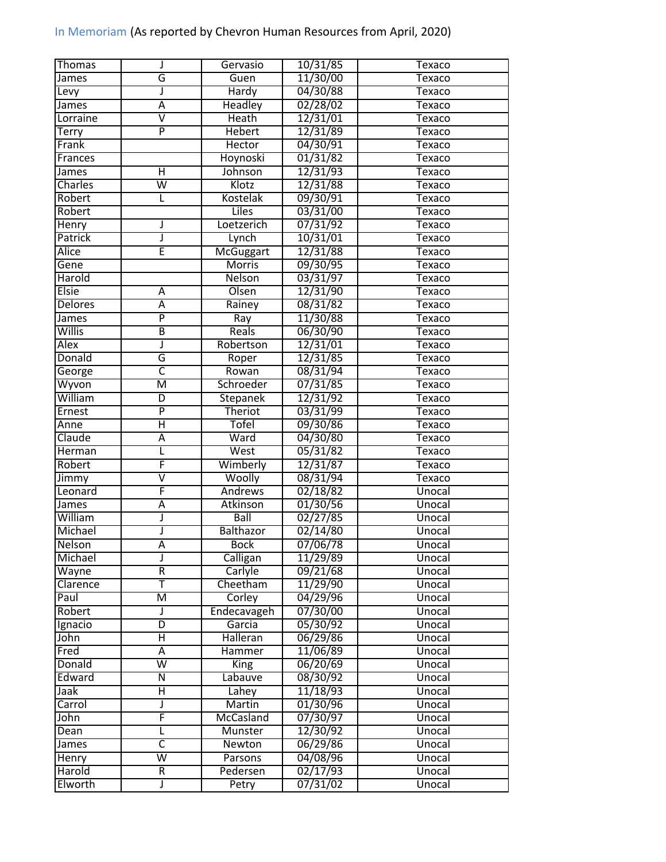| Thomas        | J                       | Gervasio         | 10/31/85 | <b>Texaco</b> |
|---------------|-------------------------|------------------|----------|---------------|
| James         | G                       | Guen             | 11/30/00 | Texaco        |
| Levy          | J                       | <b>Hardy</b>     | 04/30/88 | Texaco        |
| James         | Α                       | <b>Headley</b>   | 02/28/02 | Texaco        |
| Lorraine      | $\overline{\mathsf{v}}$ | <b>Heath</b>     | 12/31/01 | Texaco        |
| Terry         | $\overline{P}$          | <b>Hebert</b>    | 12/31/89 | Texaco        |
| Frank         |                         | Hector           | 04/30/91 | Texaco        |
| Frances       |                         | Hoynoski         | 01/31/82 | Texaco        |
| James         | Ή                       | Johnson          | 12/31/93 | <b>Texaco</b> |
| Charles       | $\overline{\mathsf{W}}$ | Klotz            | 12/31/88 | <b>Texaco</b> |
| Robert        | L                       | <b>Kostelak</b>  | 09/30/91 | <b>Texaco</b> |
| Robert        |                         | <b>Liles</b>     | 03/31/00 | Texaco        |
| Henry         | J                       | Loetzerich       | 07/31/92 | Texaco        |
| Patrick       | J                       | Lynch            | 10/31/01 | Texaco        |
| <b>Alice</b>  | Ē                       | <b>McGuggart</b> | 12/31/88 | Texaco        |
| Gene          |                         | <b>Morris</b>    | 09/30/95 | Texaco        |
| Harold        |                         | <b>Nelson</b>    | 03/31/97 | Texaco        |
| <b>Elsie</b>  | Α                       | Olsen            | 12/31/90 | Texaco        |
| Delores       | Ā                       | Rainey           | 08/31/82 |               |
|               | P                       |                  |          | Texaco        |
| James         |                         | Ray              | 11/30/88 | <b>Texaco</b> |
| Willis        | В                       | Reals            | 06/30/90 | Texaco        |
| Alex          | J                       | Robertson        | 12/31/01 | <b>Texaco</b> |
| Donald        | G                       | Roper            | 12/31/85 | Texaco        |
| George        | $\overline{\mathsf{C}}$ | Rowan            | 08/31/94 | <b>Texaco</b> |
| Wyvon         | $\overline{\mathsf{M}}$ | Schroeder        | 07/31/85 | Texaco        |
| William       | D                       | Stepanek         | 12/31/92 | Texaco        |
| Ernest        | $\overline{P}$          | Theriot          | 03/31/99 | Texaco        |
| Anne          | Η                       | <b>Tofel</b>     | 09/30/86 | Texaco        |
| Claude        | Ā                       | Ward             | 04/30/80 | Texaco        |
| Herman        | L                       | West             | 05/31/82 | Texaco        |
| Robert        | F                       | Wimberly         | 12/31/87 | Texaco        |
| Jimmy         | $\overline{\mathsf{v}}$ | Woolly           | 08/31/94 | Texaco        |
| Leonard       | F                       | Andrews          | 02/18/82 | Unocal        |
| James         | Ā                       | Atkinson         | 01/30/56 | Unocal        |
| William       | J                       | <b>Ball</b>      | 02/27/85 | Unocal        |
| Michael       | J                       | Balthazor        | 02/14/80 | Unocal        |
| <b>Nelson</b> | $\overline{\mathsf{A}}$ | <b>Bock</b>      | 07/06/78 | Unocal        |
| Michael       | J                       | Calligan         | 11/29/89 | Unocal        |
| Wayne         | R                       | Carlyle          | 09/21/68 | Unocal        |
| Clarence      | T                       | Cheetham         | 11/29/90 | Unocal        |
| Paul          | M                       | Corley           | 04/29/96 | Unocal        |
| Robert        | J                       | Endecavageh      | 07/30/00 | Unocal        |
| Ignacio       | D                       | Garcia           | 05/30/92 | Unocal        |
| John          | Η                       | Halleran         | 06/29/86 | Unocal        |
| Fred          | $\overline{\mathsf{A}}$ | Hammer           | 11/06/89 | Unocal        |
| Donald        | $\overline{\mathsf{w}}$ | <b>King</b>      | 06/20/69 | Unocal        |
| Edward        | $\overline{N}$          | Labauve          | 08/30/92 | Unocal        |
| Jaak          | Η                       | Lahey            | 11/18/93 | Unocal        |
| Carrol        | J                       | Martin           | 01/30/96 | Unocal        |
| John          | F                       | McCasland        | 07/30/97 | Unocal        |
| Dean          | L                       | Munster          | 12/30/92 | Unocal        |
| James         | $\overline{\mathsf{C}}$ | Newton           | 06/29/86 | Unocal        |
| Henry         | $\overline{\mathsf{w}}$ | Parsons          | 04/08/96 | Unocal        |
| Harold        | R                       | Pedersen         | 02/17/93 | Unocal        |
| Elworth       | J                       | Petry            | 07/31/02 | Unocal        |
|               |                         |                  |          |               |